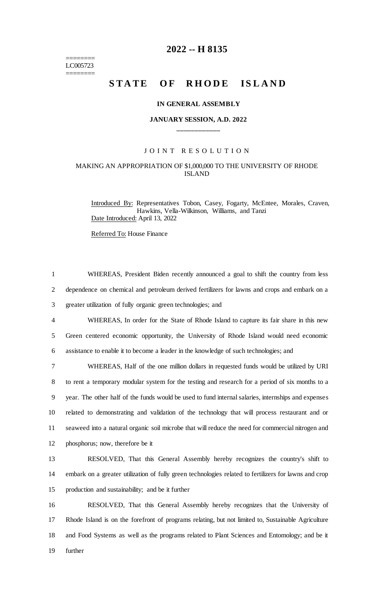======== LC005723 ========

# **2022 -- H 8135**

# **STATE OF RHODE ISLAND**

#### **IN GENERAL ASSEMBLY**

## **JANUARY SESSION, A.D. 2022 \_\_\_\_\_\_\_\_\_\_\_\_**

## JOINT RESOLUTION

## MAKING AN APPROPRIATION OF \$1,000,000 TO THE UNIVERSITY OF RHODE ISLAND

1 WHEREAS, President Biden recently announced a goal to shift the country from less

Introduced By: Representatives Tobon, Casey, Fogarty, McEntee, Morales, Craven, Hawkins, Vella-Wilkinson, Williams, and Tanzi Date Introduced: April 13, 2022

Referred To: House Finance

 dependence on chemical and petroleum derived fertilizers for lawns and crops and embark on a greater utilization of fully organic green technologies; and WHEREAS, In order for the State of Rhode Island to capture its fair share in this new Green centered economic opportunity, the University of Rhode Island would need economic assistance to enable it to become a leader in the knowledge of such technologies; and WHEREAS, Half of the one million dollars in requested funds would be utilized by URI to rent a temporary modular system for the testing and research for a period of six months to a year. The other half of the funds would be used to fund internal salaries, internships and expenses related to demonstrating and validation of the technology that will process restaurant and or seaweed into a natural organic soil microbe that will reduce the need for commercial nitrogen and phosphorus; now, therefore be it RESOLVED, That this General Assembly hereby recognizes the country's shift to embark on a greater utilization of fully green technologies related to fertilizers for lawns and crop production and sustainability; and be it further RESOLVED, That this General Assembly hereby recognizes that the University of Rhode Island is on the forefront of programs relating, but not limited to, Sustainable Agriculture and Food Systems as well as the programs related to Plant Sciences and Entomology; and be it 19 further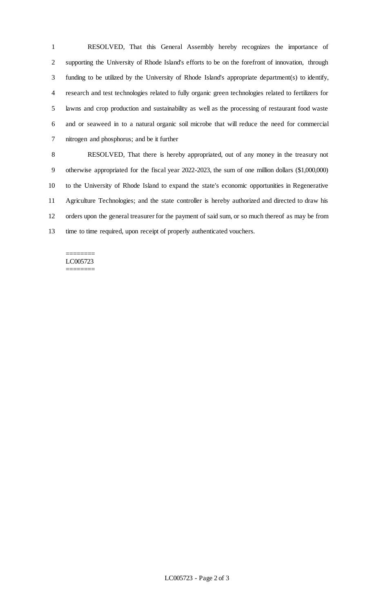RESOLVED, That this General Assembly hereby recognizes the importance of supporting the University of Rhode Island's efforts to be on the forefront of innovation, through funding to be utilized by the University of Rhode Island's appropriate department(s) to identify, research and test technologies related to fully organic green technologies related to fertilizers for lawns and crop production and sustainability as well as the processing of restaurant food waste and or seaweed in to a natural organic soil microbe that will reduce the need for commercial nitrogen and phosphorus; and be it further

 RESOLVED, That there is hereby appropriated, out of any money in the treasury not otherwise appropriated for the fiscal year 2022-2023, the sum of one million dollars (\$1,000,000) to the University of Rhode Island to expand the state's economic opportunities in Regenerative Agriculture Technologies; and the state controller is hereby authorized and directed to draw his orders upon the general treasurer for the payment of said sum, or so much thereof as may be from time to time required, upon receipt of properly authenticated vouchers.

#### ======== LC005723 ========